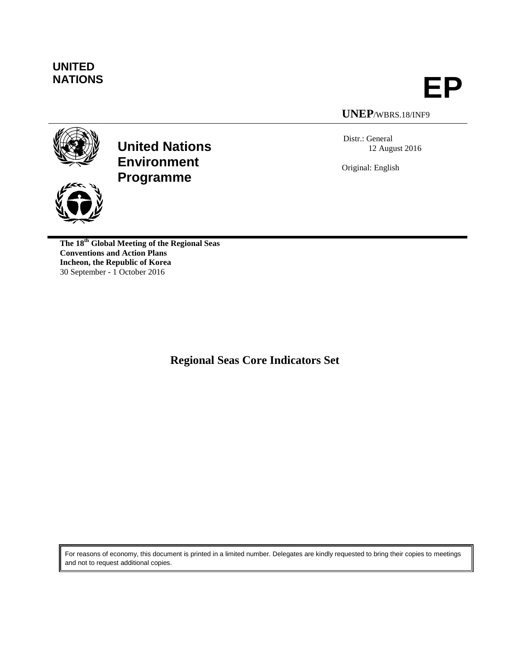

**NATIONS EP**

## **UNEP**/WBRS.18/INF9

Distr.: General 12 August 2016

Original: English



**United Nations Environment Programme**



**The 18th Global Meeting of the Regional Seas Conventions and Action Plans Incheon, the Republic of Korea** 30 September - 1 October 2016

**Regional Seas Core Indicators Set**

For reasons of economy, this document is printed in a limited number. Delegates are kindly requested to bring their copies to meetings and not to request additional copies.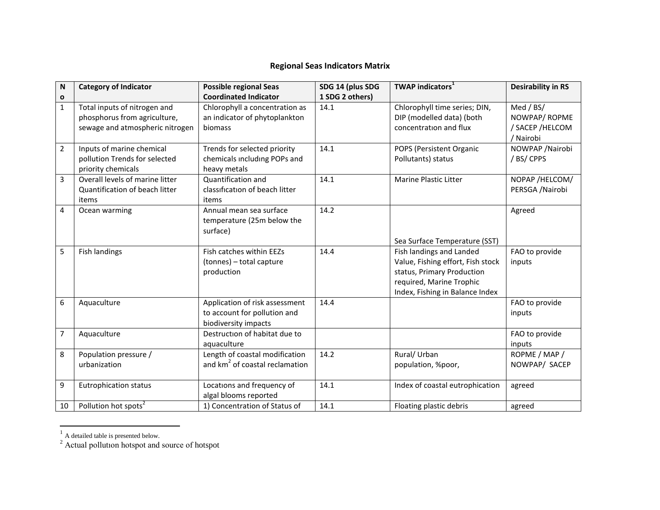## **Regional Seas Indicators Matrix**

| N              | <b>Category of Indicator</b>                                                                    | <b>Possible regional Seas</b>                                                          | SDG 14 (plus SDG | <b>TWAP indicators</b> <sup>1</sup>                                                                                                                        | <b>Desirability in RS</b>                                  |
|----------------|-------------------------------------------------------------------------------------------------|----------------------------------------------------------------------------------------|------------------|------------------------------------------------------------------------------------------------------------------------------------------------------------|------------------------------------------------------------|
| $\mathbf{o}$   |                                                                                                 | <b>Coordinated Indicator</b>                                                           | 1 SDG 2 others)  |                                                                                                                                                            |                                                            |
| $\mathbf{1}$   | Total inputs of nitrogen and<br>phosphorus from agriculture,<br>sewage and atmospheric nitrogen | Chlorophyll a concentration as<br>an indicator of phytoplankton<br>biomass             | 14.1             | Chlorophyll time series; DIN,<br>DIP (modelled data) (both<br>concentration and flux                                                                       | Med / BS/<br>NOWPAP/ROPME<br>/ SACEP / HELCOM<br>/ Nairobi |
| $\overline{2}$ | Inputs of marine chemical<br>pollution Trends for selected<br>priority chemicals                | Trends for selected priority<br>chemicals including POPs and<br>heavy metals           | 14.1             | POPS (Persistent Organic<br>Pollutants) status                                                                                                             | NOWPAP / Nairobi<br>/ BS/ CPPS                             |
| 3              | Overall levels of marine litter<br>Quantification of beach litter<br>items                      | Quantification and<br>classification of beach litter<br>items                          | 14.1             | <b>Marine Plastic Litter</b>                                                                                                                               | NOPAP /HELCOM/<br>PERSGA /Nairobi                          |
| 4              | Ocean warming                                                                                   | Annual mean sea surface<br>temperature (25m below the<br>surface)                      | 14.2             | Sea Surface Temperature (SST)                                                                                                                              | Agreed                                                     |
| 5              | <b>Fish landings</b>                                                                            | Fish catches within EEZs<br>(tonnes) - total capture<br>production                     | 14.4             | Fish landings and Landed<br>Value, Fishing effort, Fish stock<br>status, Primary Production<br>required, Marine Trophic<br>Index, Fishing in Balance Index | FAO to provide<br>inputs                                   |
| 6              | Aquaculture                                                                                     | Application of risk assessment<br>to account for pollution and<br>biodiversity impacts | 14.4             |                                                                                                                                                            | FAO to provide<br>inputs                                   |
| 7              | Aquaculture                                                                                     | Destruction of habitat due to<br>aquaculture                                           |                  |                                                                                                                                                            | FAO to provide<br>inputs                                   |
| 8              | Population pressure /<br>urbanization                                                           | Length of coastal modification<br>and km <sup>2</sup> of coastal reclamation           | 14.2             | Rural/ Urban<br>population, %poor,                                                                                                                         | ROPME / MAP /<br>NOWPAP/ SACEP                             |
| 9              | <b>Eutrophication status</b>                                                                    | Locations and frequency of<br>algal blooms reported                                    | 14.1             | Index of coastal eutrophication                                                                                                                            | agreed                                                     |
| 10             | Pollution hot spots <sup>2</sup>                                                                | 1) Concentration of Status of                                                          | 14.1             | Floating plastic debris                                                                                                                                    | agreed                                                     |

 $\frac{1}{1}$  A detailed table is presented below.

 $2^2$  Actual pollution hotspot and source of hotspot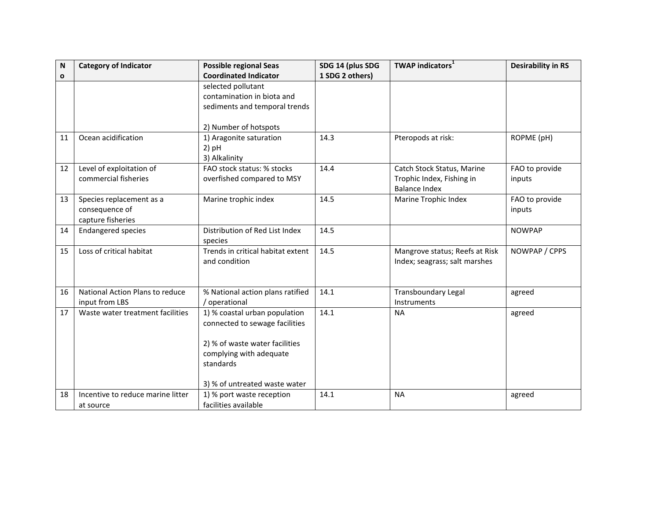| N  | <b>Category of Indicator</b>                                    | <b>Possible regional Seas</b>                                                                                                                                              | SDG 14 (plus SDG | <b>TWAP indicators</b>                                                          | <b>Desirability in RS</b> |
|----|-----------------------------------------------------------------|----------------------------------------------------------------------------------------------------------------------------------------------------------------------------|------------------|---------------------------------------------------------------------------------|---------------------------|
| O  |                                                                 | <b>Coordinated Indicator</b>                                                                                                                                               | 1 SDG 2 others)  |                                                                                 |                           |
|    |                                                                 | selected pollutant<br>contamination in biota and<br>sediments and temporal trends                                                                                          |                  |                                                                                 |                           |
|    |                                                                 | 2) Number of hotspots                                                                                                                                                      |                  |                                                                                 |                           |
| 11 | Ocean acidification                                             | 1) Aragonite saturation<br>$2)$ pH<br>3) Alkalinity                                                                                                                        | 14.3             | Pteropods at risk:                                                              | ROPME (pH)                |
| 12 | Level of exploitation of<br>commercial fisheries                | FAO stock status: % stocks<br>overfished compared to MSY                                                                                                                   | 14.4             | Catch Stock Status, Marine<br>Trophic Index, Fishing in<br><b>Balance Index</b> | FAO to provide<br>inputs  |
| 13 | Species replacement as a<br>consequence of<br>capture fisheries | Marine trophic index                                                                                                                                                       | 14.5             | Marine Trophic Index                                                            | FAO to provide<br>inputs  |
| 14 | <b>Endangered species</b>                                       | Distribution of Red List Index<br>species                                                                                                                                  | 14.5             |                                                                                 | <b>NOWPAP</b>             |
| 15 | Loss of critical habitat                                        | Trends in critical habitat extent<br>and condition                                                                                                                         | 14.5             | Mangrove status; Reefs at Risk<br>Index; seagrass; salt marshes                 | NOWPAP / CPPS             |
| 16 | National Action Plans to reduce<br>input from LBS               | % National action plans ratified<br>/ operational                                                                                                                          | 14.1             | <b>Transboundary Legal</b><br>Instruments                                       | agreed                    |
| 17 | Waste water treatment facilities                                | 1) % coastal urban population<br>connected to sewage facilities<br>2) % of waste water facilities<br>complying with adequate<br>standards<br>3) % of untreated waste water | 14.1             | <b>NA</b>                                                                       | agreed                    |
| 18 | Incentive to reduce marine litter<br>at source                  | 1) % port waste reception<br>facilities available                                                                                                                          | 14.1             | <b>NA</b>                                                                       | agreed                    |